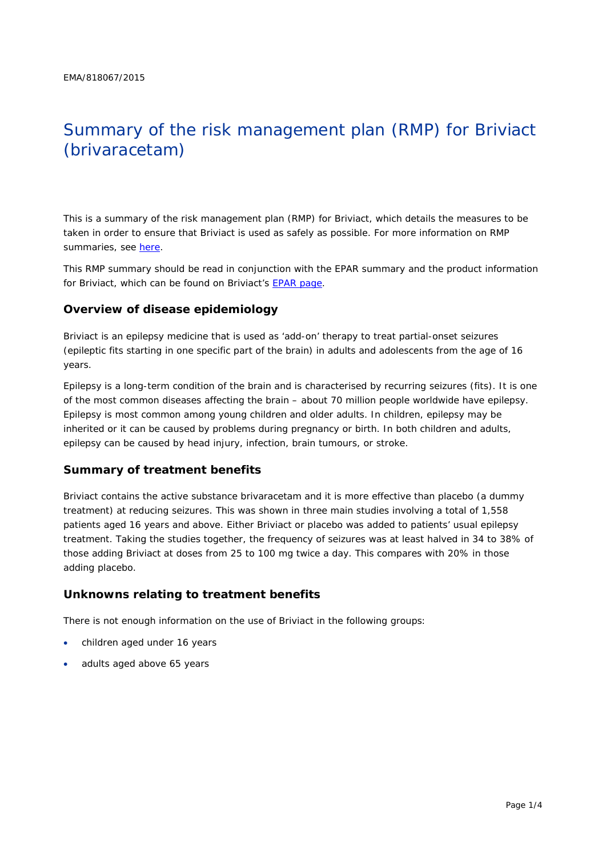# Summary of the risk management plan (RMP) for Briviact (brivaracetam)

This is a summary of the risk management plan (RMP) for Briviact, which details the measures to be taken in order to ensure that Briviact is used as safely as possible. For more information on RMP summaries, see [here.](http://www.ema.europa.eu/docs/en_GB/document_library/Other/2014/05/WC500166101.pdf)

This RMP summary should be read in conjunction with the EPAR summary and the product information for Briviact, which can be found on Briviact's [EPAR page.](http://www.ema.europa.eu/ema/index.jsp?curl=/pages/medicines/human/medicines/003898/human_med_001945.jsp)

## **Overview of disease epidemiology**

Briviact is an epilepsy medicine that is used as 'add-on' therapy to treat partial-onset seizures (epileptic fits starting in one specific part of the brain) in adults and adolescents from the age of 16 years.

Epilepsy is a long-term condition of the brain and is characterised by recurring seizures (fits). It is one of the most common diseases affecting the brain – about 70 million people worldwide have epilepsy. Epilepsy is most common among young children and older adults. In children, epilepsy may be inherited or it can be caused by problems during pregnancy or birth. In both children and adults, epilepsy can be caused by head injury, infection, brain tumours, or stroke.

### **Summary of treatment benefits**

Briviact contains the active substance brivaracetam and it is more effective than placebo (a dummy treatment) at reducing seizures. This was shown in three main studies involving a total of 1,558 patients aged 16 years and above. Either Briviact or placebo was added to patients' usual epilepsy treatment. Taking the studies together, the frequency of seizures was at least halved in 34 to 38% of those adding Briviact at doses from 25 to 100 mg twice a day. This compares with 20% in those adding placebo.

### **Unknowns relating to treatment benefits**

There is not enough information on the use of Briviact in the following groups:

- children aged under 16 years
- adults aged above 65 years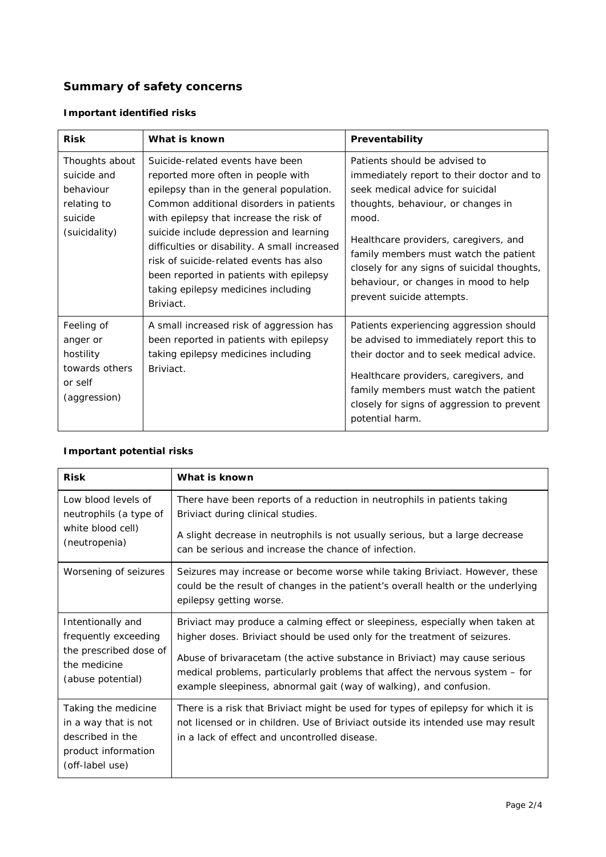# **Summary of safety concerns**

# *Important identified risks*

| <b>Risk</b>                                                                           | What is known                                                                                                                                                                                                                                                                                                                                                                                                                                  | Preventability                                                                                                                                                                                                                                                                                                                                                       |  |
|---------------------------------------------------------------------------------------|------------------------------------------------------------------------------------------------------------------------------------------------------------------------------------------------------------------------------------------------------------------------------------------------------------------------------------------------------------------------------------------------------------------------------------------------|----------------------------------------------------------------------------------------------------------------------------------------------------------------------------------------------------------------------------------------------------------------------------------------------------------------------------------------------------------------------|--|
| Thoughts about<br>suicide and<br>behaviour<br>relating to<br>suicide<br>(suicidality) | Suicide-related events have been<br>reported more often in people with<br>epilepsy than in the general population.<br>Common additional disorders in patients<br>with epilepsy that increase the risk of<br>suicide include depression and learning<br>difficulties or disability. A small increased<br>risk of suicide-related events has also<br>been reported in patients with epilepsy<br>taking epilepsy medicines including<br>Briviact. | Patients should be advised to<br>immediately report to their doctor and to<br>seek medical advice for suicidal<br>thoughts, behaviour, or changes in<br>mood.<br>Healthcare providers, caregivers, and<br>family members must watch the patient<br>closely for any signs of suicidal thoughts,<br>behaviour, or changes in mood to help<br>prevent suicide attempts. |  |
| Feeling of<br>anger or<br>hostility<br>towards others<br>or self<br>(aggression)      | A small increased risk of aggression has<br>been reported in patients with epilepsy<br>taking epilepsy medicines including<br>Briviact.                                                                                                                                                                                                                                                                                                        | Patients experiencing aggression should<br>be advised to immediately report this to<br>their doctor and to seek medical advice.<br>Healthcare providers, caregivers, and<br>family members must watch the patient<br>closely for signs of aggression to prevent<br>potential harm.                                                                                   |  |

## *Important potential risks*

| <b>Risk</b>                                                                                               | What is known                                                                                                                                                                                                                    |  |  |  |
|-----------------------------------------------------------------------------------------------------------|----------------------------------------------------------------------------------------------------------------------------------------------------------------------------------------------------------------------------------|--|--|--|
| Low blood levels of<br>neutrophils (a type of<br>white blood cell)                                        | There have been reports of a reduction in neutrophils in patients taking<br>Briviact during clinical studies.<br>A slight decrease in neutrophils is not usually serious, but a large decrease                                   |  |  |  |
| (neutropenia)                                                                                             | can be serious and increase the chance of infection.                                                                                                                                                                             |  |  |  |
| Worsening of seizures                                                                                     | Seizures may increase or become worse while taking Briviact. However, these<br>could be the result of changes in the patient's overall health or the underlying<br>epilepsy getting worse.                                       |  |  |  |
| Intentionally and<br>frequently exceeding                                                                 | Briviact may produce a calming effect or sleepiness, especially when taken at<br>higher doses. Briviact should be used only for the treatment of seizures.                                                                       |  |  |  |
| the prescribed dose of<br>the medicine<br>(abuse potential)                                               | Abuse of brivaracetam (the active substance in Briviact) may cause serious<br>medical problems, particularly problems that affect the nervous system - for<br>example sleepiness, abnormal gait (way of walking), and confusion. |  |  |  |
| Taking the medicine<br>in a way that is not<br>described in the<br>product information<br>(off-label use) | There is a risk that Briviact might be used for types of epilepsy for which it is<br>not licensed or in children. Use of Briviact outside its intended use may result<br>in a lack of effect and uncontrolled disease.           |  |  |  |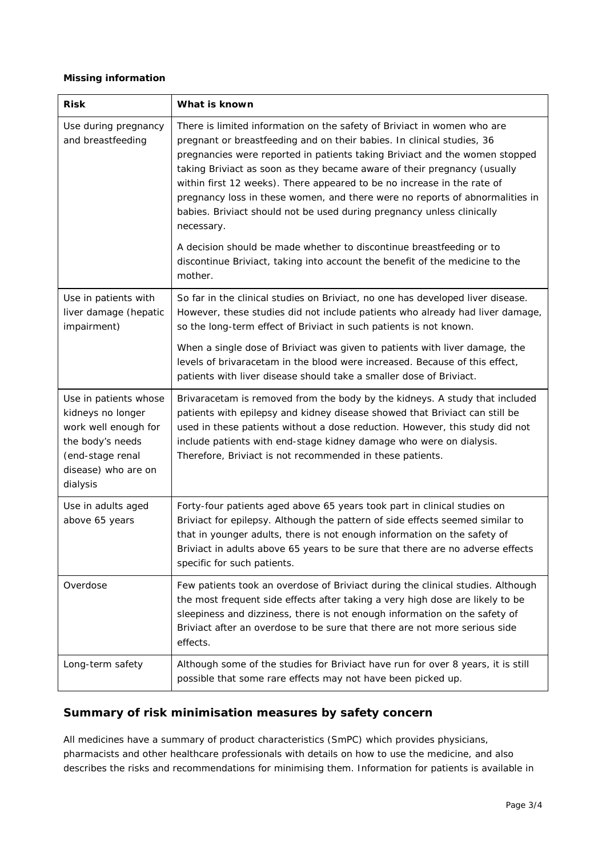#### *Missing information*

| <b>Risk</b>                                                                                                                                   | What is known                                                                                                                                                                                                                                                                                                                                                                                                                                                                                                                                                   |  |  |
|-----------------------------------------------------------------------------------------------------------------------------------------------|-----------------------------------------------------------------------------------------------------------------------------------------------------------------------------------------------------------------------------------------------------------------------------------------------------------------------------------------------------------------------------------------------------------------------------------------------------------------------------------------------------------------------------------------------------------------|--|--|
| Use during pregnancy<br>and breastfeeding                                                                                                     | There is limited information on the safety of Briviact in women who are<br>pregnant or breastfeeding and on their babies. In clinical studies, 36<br>pregnancies were reported in patients taking Briviact and the women stopped<br>taking Briviact as soon as they became aware of their pregnancy (usually<br>within first 12 weeks). There appeared to be no increase in the rate of<br>pregnancy loss in these women, and there were no reports of abnormalities in<br>babies. Briviact should not be used during pregnancy unless clinically<br>necessary. |  |  |
|                                                                                                                                               | A decision should be made whether to discontinue breastfeeding or to<br>discontinue Briviact, taking into account the benefit of the medicine to the<br>mother.                                                                                                                                                                                                                                                                                                                                                                                                 |  |  |
| Use in patients with<br>liver damage (hepatic<br>impairment)                                                                                  | So far in the clinical studies on Briviact, no one has developed liver disease.<br>However, these studies did not include patients who already had liver damage,<br>so the long-term effect of Briviact in such patients is not known.                                                                                                                                                                                                                                                                                                                          |  |  |
|                                                                                                                                               | When a single dose of Briviact was given to patients with liver damage, the<br>levels of brivaracetam in the blood were increased. Because of this effect,<br>patients with liver disease should take a smaller dose of Briviact.                                                                                                                                                                                                                                                                                                                               |  |  |
| Use in patients whose<br>kidneys no longer<br>work well enough for<br>the body's needs<br>(end-stage renal<br>disease) who are on<br>dialysis | Brivaracetam is removed from the body by the kidneys. A study that included<br>patients with epilepsy and kidney disease showed that Briviact can still be<br>used in these patients without a dose reduction. However, this study did not<br>include patients with end-stage kidney damage who were on dialysis.<br>Therefore, Briviact is not recommended in these patients.                                                                                                                                                                                  |  |  |
| Use in adults aged<br>above 65 years                                                                                                          | Forty-four patients aged above 65 years took part in clinical studies on<br>Briviact for epilepsy. Although the pattern of side effects seemed similar to<br>that in younger adults, there is not enough information on the safety of<br>Briviact in adults above 65 years to be sure that there are no adverse effects<br>specific for such patients.                                                                                                                                                                                                          |  |  |
| Overdose                                                                                                                                      | Few patients took an overdose of Briviact during the clinical studies. Although<br>the most frequent side effects after taking a very high dose are likely to be<br>sleepiness and dizziness, there is not enough information on the safety of<br>Briviact after an overdose to be sure that there are not more serious side<br>effects.                                                                                                                                                                                                                        |  |  |
| Long-term safety                                                                                                                              | Although some of the studies for Briviact have run for over 8 years, it is still<br>possible that some rare effects may not have been picked up.                                                                                                                                                                                                                                                                                                                                                                                                                |  |  |

# **Summary of risk minimisation measures by safety concern**

All medicines have a summary of product characteristics (SmPC) which provides physicians, pharmacists and other healthcare professionals with details on how to use the medicine, and also describes the risks and recommendations for minimising them. Information for patients is available in